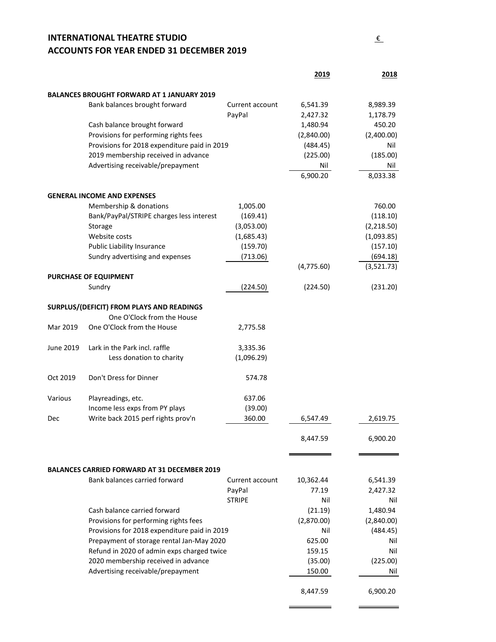### **INTERNATIONAL THEATRE STUDIO** € **ACCOUNTS FOR YEAR ENDED 31 DECEMBER 2019**

|                                                                                                                                         |                                                                                    |                 | 2019       | 2018                 |
|-----------------------------------------------------------------------------------------------------------------------------------------|------------------------------------------------------------------------------------|-----------------|------------|----------------------|
|                                                                                                                                         |                                                                                    |                 |            |                      |
|                                                                                                                                         | <b>BALANCES BROUGHT FORWARD AT 1 JANUARY 2019</b><br>Bank balances brought forward | Current account | 6,541.39   |                      |
|                                                                                                                                         |                                                                                    | PayPal          | 2,427.32   | 8,989.39<br>1,178.79 |
|                                                                                                                                         | Cash balance brought forward                                                       |                 | 1,480.94   | 450.20               |
|                                                                                                                                         | Provisions for performing rights fees                                              |                 | (2,840.00) | (2,400.00)           |
|                                                                                                                                         | Provisions for 2018 expenditure paid in 2019                                       |                 | (484.45)   | Nil                  |
|                                                                                                                                         | 2019 membership received in advance                                                |                 | (225.00)   | (185.00)             |
|                                                                                                                                         | Advertising receivable/prepayment                                                  |                 | Nil        | Nil                  |
|                                                                                                                                         |                                                                                    |                 | 6,900.20   | 8,033.38             |
|                                                                                                                                         | <b>GENERAL INCOME AND EXPENSES</b>                                                 |                 |            |                      |
|                                                                                                                                         | Membership & donations                                                             | 1,005.00        |            | 760.00               |
|                                                                                                                                         | Bank/PayPal/STRIPE charges less interest                                           | (169.41)        |            | (118.10)             |
|                                                                                                                                         | Storage                                                                            | (3,053.00)      |            | (2,218.50)           |
|                                                                                                                                         | Website costs                                                                      | (1,685.43)      |            | (1,093.85)           |
|                                                                                                                                         | Public Liability Insurance                                                         | (159.70)        |            | (157.10)             |
|                                                                                                                                         | Sundry advertising and expenses                                                    | (713.06)        |            | (694.18)             |
|                                                                                                                                         |                                                                                    |                 | (4,775.60) | (3,521.73)           |
|                                                                                                                                         | PURCHASE OF EQUIPMENT                                                              |                 |            |                      |
|                                                                                                                                         | Sundry                                                                             | (224.50)        | (224.50)   | (231.20)             |
|                                                                                                                                         | SURPLUS/(DEFICIT) FROM PLAYS AND READINGS                                          |                 |            |                      |
|                                                                                                                                         | One O'Clock from the House                                                         |                 |            |                      |
| Mar 2019                                                                                                                                | One O'Clock from the House                                                         | 2,775.58        |            |                      |
| June 2019                                                                                                                               | Lark in the Park incl. raffle                                                      | 3,335.36        |            |                      |
|                                                                                                                                         | Less donation to charity                                                           | (1,096.29)      |            |                      |
| Oct 2019                                                                                                                                | Don't Dress for Dinner                                                             | 574.78          |            |                      |
| Various                                                                                                                                 | Playreadings, etc.                                                                 | 637.06          |            |                      |
|                                                                                                                                         | Income less exps from PY plays                                                     | (39.00)         |            |                      |
| Dec                                                                                                                                     | Write back 2015 perf rights prov'n                                                 | 360.00          | 6,547.49   | 2.619.75             |
|                                                                                                                                         |                                                                                    |                 | 8,447.59   | 6,900.20             |
|                                                                                                                                         |                                                                                    |                 |            |                      |
|                                                                                                                                         | <b>BALANCES CARRIED FORWARD AT 31 DECEMBER 2019</b>                                |                 |            |                      |
|                                                                                                                                         | Bank balances carried forward                                                      | Current account | 10,362.44  | 6,541.39             |
|                                                                                                                                         |                                                                                    | PayPal          | 77.19      | 2,427.32             |
|                                                                                                                                         |                                                                                    | <b>STRIPE</b>   | Nil        | Nil                  |
|                                                                                                                                         | Cash balance carried forward                                                       |                 | (21.19)    | 1,480.94             |
|                                                                                                                                         | Provisions for performing rights fees                                              |                 | (2,870.00) | (2,840.00)           |
| Provisions for 2018 expenditure paid in 2019<br>Prepayment of storage rental Jan-May 2020<br>Refund in 2020 of admin exps charged twice |                                                                                    |                 | Nil        | (484.45)             |
|                                                                                                                                         |                                                                                    |                 | 625.00     | Nil                  |
|                                                                                                                                         |                                                                                    |                 | 159.15     | Nil                  |
|                                                                                                                                         | 2020 membership received in advance                                                |                 | (35.00)    | (225.00)             |
|                                                                                                                                         | Advertising receivable/prepayment                                                  |                 | 150.00     | Nil                  |
|                                                                                                                                         |                                                                                    |                 | 8,447.59   | 6,900.20             |

3

 $\blacksquare$